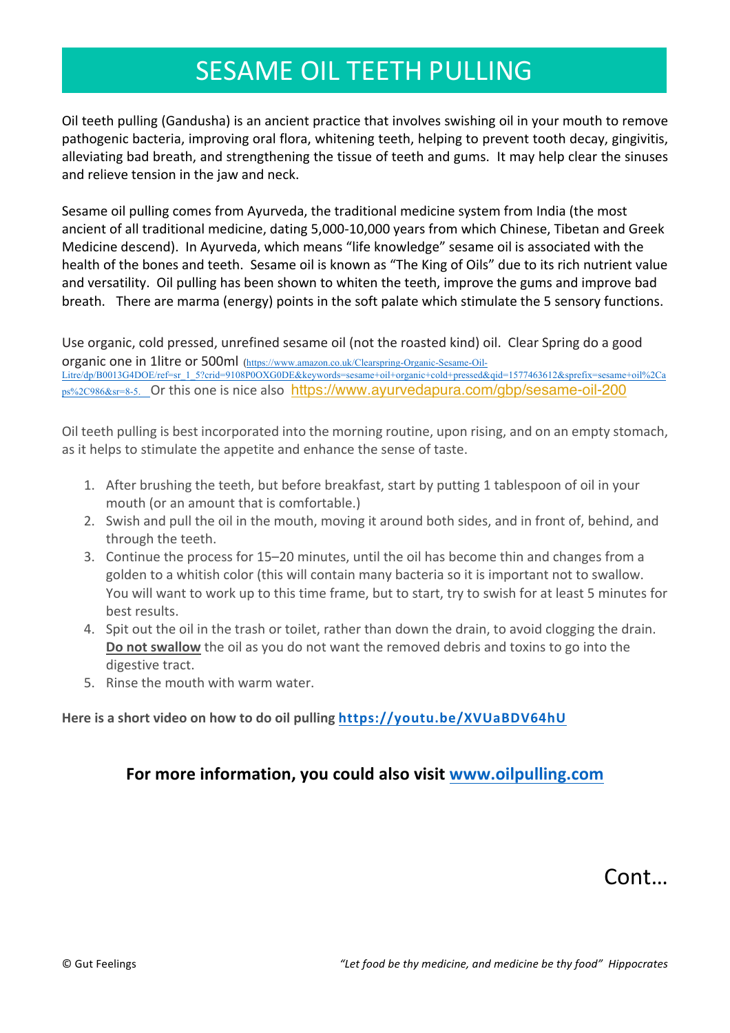## **SESAME OIL TEETH PULLING**

Oil teeth pulling (Gandusha) is an ancient practice that involves swishing oil in your mouth to remove pathogenic bacteria, improving oral flora, whitening teeth, helping to prevent tooth decay, gingivitis, alleviating bad breath, and strengthening the tissue of teeth and gums. It may help clear the sinuses and relieve tension in the jaw and neck.

Sesame oil pulling comes from Ayurveda, the traditional medicine system from India (the most ancient of all traditional medicine, dating 5,000-10,000 years from which Chinese, Tibetan and Greek Medicine descend). In Ayurveda, which means "life knowledge" sesame oil is associated with the health of the bones and teeth. Sesame oil is known as "The King of Oils" due to its rich nutrient value and versatility. Oil pulling has been shown to whiten the teeth, improve the gums and improve bad breath. There are marma (energy) points in the soft palate which stimulate the 5 sensory functions.

Use organic, cold pressed, unrefined sesame oil (not the roasted kind) oil. Clear Spring do a good organic one in 1litre or 500ml (https://www.amazon.co.uk/Clearspring-Organic-Sesame-Oil-Litre/dp/B0013G4DOE/ref=sr\_1\_5?crid=9108P0OXG0DE&keywords=sesame+oil+organic+cold+pressed&qid=1577463612&sprefix=sesame+oil%2Ca ps%2C986&sr=8-5. Or this one is nice also https://www.ayurvedapura.com/qbp/sesame-oil-200

Oil teeth pulling is best incorporated into the morning routine, upon rising, and on an empty stomach, as it helps to stimulate the appetite and enhance the sense of taste.

- 1. After brushing the teeth, but before breakfast, start by putting 1 tablespoon of oil in your mouth (or an amount that is comfortable.)
- 2. Swish and pull the oil in the mouth, moving it around both sides, and in front of, behind, and through the teeth.
- 3. Continue the process for 15–20 minutes, until the oil has become thin and changes from a golden to a whitish color (this will contain many bacteria so it is important not to swallow. You will want to work up to this time frame, but to start, try to swish for at least 5 minutes for best results.
- 4. Spit out the oil in the trash or toilet, rather than down the drain, to avoid clogging the drain. **Do not swallow** the oil as you do not want the removed debris and toxins to go into the digestive tract.
- 5. Rinse the mouth with warm water.

#### Here is a short video on how to do oil pulling https://youtu.be/XVUaBDV64hU

#### **For more information, you could also visit www.oilpulling.com**